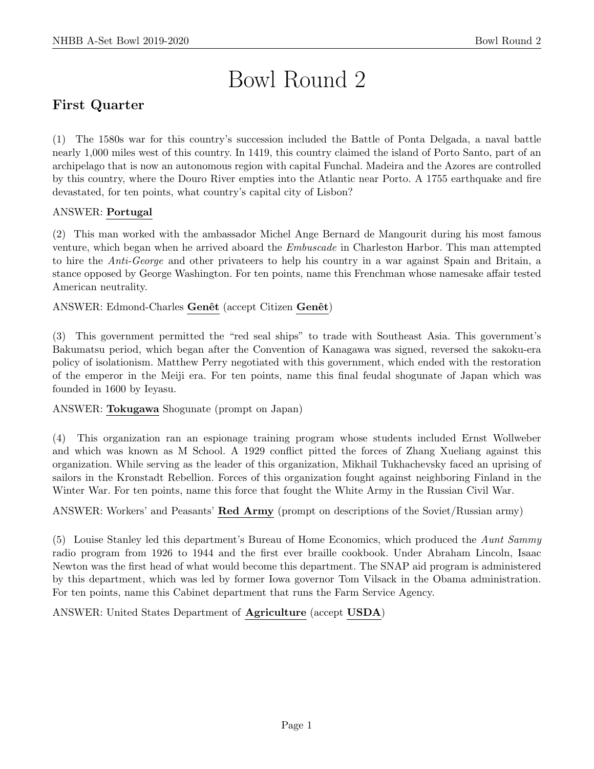# Bowl Round 2

## First Quarter

(1) The 1580s war for this country's succession included the Battle of Ponta Delgada, a naval battle nearly 1,000 miles west of this country. In 1419, this country claimed the island of Porto Santo, part of an archipelago that is now an autonomous region with capital Funchal. Madeira and the Azores are controlled by this country, where the Douro River empties into the Atlantic near Porto. A 1755 earthquake and fire devastated, for ten points, what country's capital city of Lisbon?

#### ANSWER: Portugal

(2) This man worked with the ambassador Michel Ange Bernard de Mangourit during his most famous venture, which began when he arrived aboard the Embuscade in Charleston Harbor. This man attempted to hire the Anti-George and other privateers to help his country in a war against Spain and Britain, a stance opposed by George Washington. For ten points, name this Frenchman whose namesake affair tested American neutrality.

ANSWER: Edmond-Charles Genêt (accept Citizen Genêt)

(3) This government permitted the "red seal ships" to trade with Southeast Asia. This government's Bakumatsu period, which began after the Convention of Kanagawa was signed, reversed the sakoku-era policy of isolationism. Matthew Perry negotiated with this government, which ended with the restoration of the emperor in the Meiji era. For ten points, name this final feudal shogunate of Japan which was founded in 1600 by Ieyasu.

ANSWER: Tokugawa Shogunate (prompt on Japan)

(4) This organization ran an espionage training program whose students included Ernst Wollweber and which was known as M School. A 1929 conflict pitted the forces of Zhang Xueliang against this organization. While serving as the leader of this organization, Mikhail Tukhachevsky faced an uprising of sailors in the Kronstadt Rebellion. Forces of this organization fought against neighboring Finland in the Winter War. For ten points, name this force that fought the White Army in the Russian Civil War.

ANSWER: Workers' and Peasants' Red Army (prompt on descriptions of the Soviet/Russian army)

(5) Louise Stanley led this department's Bureau of Home Economics, which produced the Aunt Sammy radio program from 1926 to 1944 and the first ever braille cookbook. Under Abraham Lincoln, Isaac Newton was the first head of what would become this department. The SNAP aid program is administered by this department, which was led by former Iowa governor Tom Vilsack in the Obama administration. For ten points, name this Cabinet department that runs the Farm Service Agency.

ANSWER: United States Department of Agriculture (accept USDA)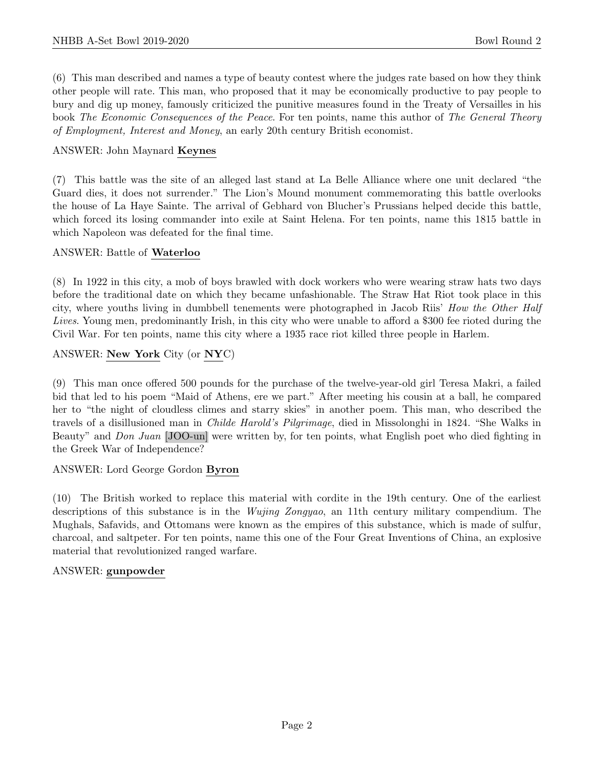(6) This man described and names a type of beauty contest where the judges rate based on how they think other people will rate. This man, who proposed that it may be economically productive to pay people to bury and dig up money, famously criticized the punitive measures found in the Treaty of Versailles in his book The Economic Consequences of the Peace. For ten points, name this author of The General Theory of Employment, Interest and Money, an early 20th century British economist.

#### ANSWER: John Maynard Keynes

(7) This battle was the site of an alleged last stand at La Belle Alliance where one unit declared "the Guard dies, it does not surrender." The Lion's Mound monument commemorating this battle overlooks the house of La Haye Sainte. The arrival of Gebhard von Blucher's Prussians helped decide this battle, which forced its losing commander into exile at Saint Helena. For ten points, name this 1815 battle in which Napoleon was defeated for the final time.

#### ANSWER: Battle of Waterloo

(8) In 1922 in this city, a mob of boys brawled with dock workers who were wearing straw hats two days before the traditional date on which they became unfashionable. The Straw Hat Riot took place in this city, where youths living in dumbbell tenements were photographed in Jacob Riis' How the Other Half Lives. Young men, predominantly Irish, in this city who were unable to afford a \$300 fee rioted during the Civil War. For ten points, name this city where a 1935 race riot killed three people in Harlem.

#### ANSWER: New York City (or NYC)

(9) This man once offered 500 pounds for the purchase of the twelve-year-old girl Teresa Makri, a failed bid that led to his poem "Maid of Athens, ere we part." After meeting his cousin at a ball, he compared her to "the night of cloudless climes and starry skies" in another poem. This man, who described the travels of a disillusioned man in Childe Harold's Pilgrimage, died in Missolonghi in 1824. "She Walks in Beauty" and Don Juan [JOO-un] were written by, for ten points, what English poet who died fighting in the Greek War of Independence?

#### ANSWER: Lord George Gordon Byron

(10) The British worked to replace this material with cordite in the 19th century. One of the earliest descriptions of this substance is in the *Wujing Zongyao*, an 11th century military compendium. The Mughals, Safavids, and Ottomans were known as the empires of this substance, which is made of sulfur, charcoal, and saltpeter. For ten points, name this one of the Four Great Inventions of China, an explosive material that revolutionized ranged warfare.

#### ANSWER: gunpowder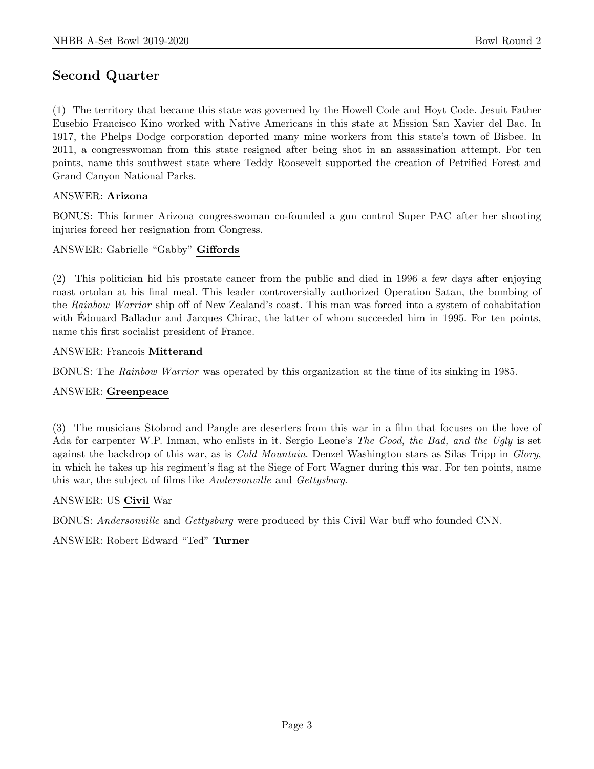## Second Quarter

(1) The territory that became this state was governed by the Howell Code and Hoyt Code. Jesuit Father Eusebio Francisco Kino worked with Native Americans in this state at Mission San Xavier del Bac. In 1917, the Phelps Dodge corporation deported many mine workers from this state's town of Bisbee. In 2011, a congresswoman from this state resigned after being shot in an assassination attempt. For ten points, name this southwest state where Teddy Roosevelt supported the creation of Petrified Forest and Grand Canyon National Parks.

#### ANSWER: Arizona

BONUS: This former Arizona congresswoman co-founded a gun control Super PAC after her shooting injuries forced her resignation from Congress.

#### ANSWER: Gabrielle "Gabby" Giffords

(2) This politician hid his prostate cancer from the public and died in 1996 a few days after enjoying roast ortolan at his final meal. This leader controversially authorized Operation Satan, the bombing of the Rainbow Warrior ship off of New Zealand's coast. This man was forced into a system of cohabitation with Edouard Balladur and Jacques Chirac, the latter of whom succeeded him in 1995. For ten points, name this first socialist president of France.

#### ANSWER: Francois Mitterand

BONUS: The Rainbow Warrior was operated by this organization at the time of its sinking in 1985.

#### ANSWER: Greenpeace

(3) The musicians Stobrod and Pangle are deserters from this war in a film that focuses on the love of Ada for carpenter W.P. Inman, who enlists in it. Sergio Leone's The Good, the Bad, and the Ugly is set against the backdrop of this war, as is *Cold Mountain*. Denzel Washington stars as Silas Tripp in *Glory*, in which he takes up his regiment's flag at the Siege of Fort Wagner during this war. For ten points, name this war, the subject of films like Andersonville and Gettysburg.

#### ANSWER: US Civil War

BONUS: Andersonville and Gettysburg were produced by this Civil War buff who founded CNN.

ANSWER: Robert Edward "Ted" Turner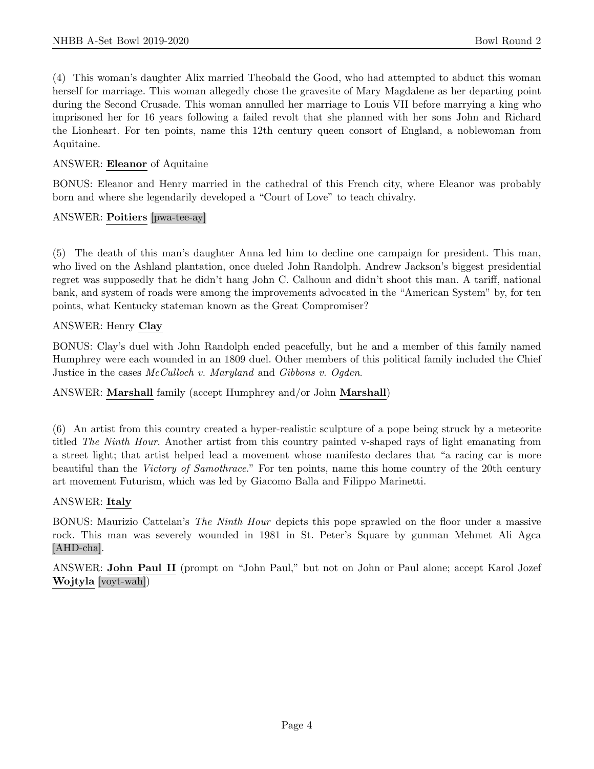(4) This woman's daughter Alix married Theobald the Good, who had attempted to abduct this woman herself for marriage. This woman allegedly chose the gravesite of Mary Magdalene as her departing point during the Second Crusade. This woman annulled her marriage to Louis VII before marrying a king who imprisoned her for 16 years following a failed revolt that she planned with her sons John and Richard the Lionheart. For ten points, name this 12th century queen consort of England, a noblewoman from Aquitaine.

#### ANSWER: Eleanor of Aquitaine

BONUS: Eleanor and Henry married in the cathedral of this French city, where Eleanor was probably born and where she legendarily developed a "Court of Love" to teach chivalry.

#### ANSWER: Poitiers [pwa-tee-ay]

(5) The death of this man's daughter Anna led him to decline one campaign for president. This man, who lived on the Ashland plantation, once dueled John Randolph. Andrew Jackson's biggest presidential regret was supposedly that he didn't hang John C. Calhoun and didn't shoot this man. A tariff, national bank, and system of roads were among the improvements advocated in the "American System" by, for ten points, what Kentucky stateman known as the Great Compromiser?

#### ANSWER: Henry Clay

BONUS: Clay's duel with John Randolph ended peacefully, but he and a member of this family named Humphrey were each wounded in an 1809 duel. Other members of this political family included the Chief Justice in the cases McCulloch v. Maryland and Gibbons v. Ogden.

#### ANSWER: Marshall family (accept Humphrey and/or John Marshall)

(6) An artist from this country created a hyper-realistic sculpture of a pope being struck by a meteorite titled The Ninth Hour. Another artist from this country painted v-shaped rays of light emanating from a street light; that artist helped lead a movement whose manifesto declares that "a racing car is more beautiful than the Victory of Samothrace." For ten points, name this home country of the 20th century art movement Futurism, which was led by Giacomo Balla and Filippo Marinetti.

#### ANSWER: Italy

BONUS: Maurizio Cattelan's *The Ninth Hour* depicts this pope sprawled on the floor under a massive rock. This man was severely wounded in 1981 in St. Peter's Square by gunman Mehmet Ali Agca [AHD-cha].

ANSWER: John Paul II (prompt on "John Paul," but not on John or Paul alone; accept Karol Jozef Wojtyla [voyt-wah])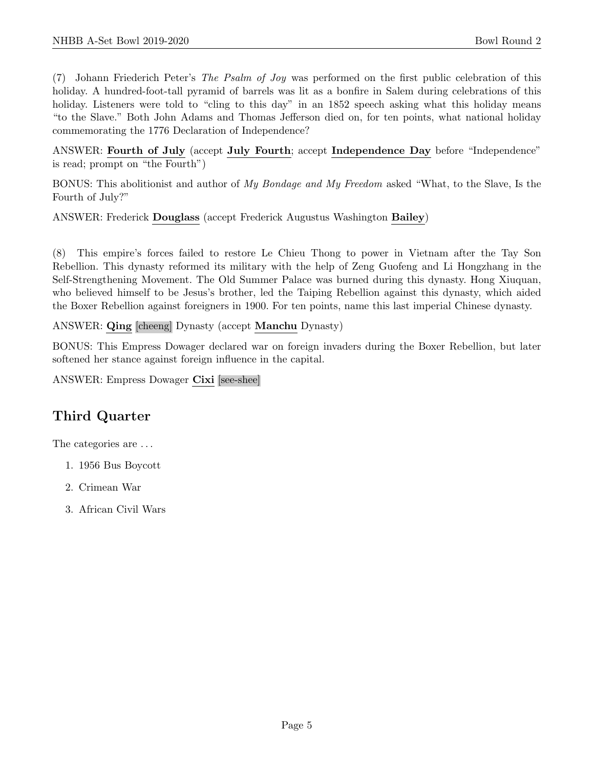(7) Johann Friederich Peter's The Psalm of Joy was performed on the first public celebration of this holiday. A hundred-foot-tall pyramid of barrels was lit as a bonfire in Salem during celebrations of this holiday. Listeners were told to "cling to this day" in an 1852 speech asking what this holiday means "to the Slave." Both John Adams and Thomas Jefferson died on, for ten points, what national holiday commemorating the 1776 Declaration of Independence?

ANSWER: Fourth of July (accept July Fourth; accept Independence Day before "Independence" is read; prompt on "the Fourth")

BONUS: This abolitionist and author of My Bondage and My Freedom asked "What, to the Slave, Is the Fourth of July?"

ANSWER: Frederick Douglass (accept Frederick Augustus Washington Bailey)

(8) This empire's forces failed to restore Le Chieu Thong to power in Vietnam after the Tay Son Rebellion. This dynasty reformed its military with the help of Zeng Guofeng and Li Hongzhang in the Self-Strengthening Movement. The Old Summer Palace was burned during this dynasty. Hong Xiuquan, who believed himself to be Jesus's brother, led the Taiping Rebellion against this dynasty, which aided the Boxer Rebellion against foreigners in 1900. For ten points, name this last imperial Chinese dynasty.

ANSWER: Qing [cheeng] Dynasty (accept Manchu Dynasty)

BONUS: This Empress Dowager declared war on foreign invaders during the Boxer Rebellion, but later softened her stance against foreign influence in the capital.

ANSWER: Empress Dowager Cixi [see-shee]

## Third Quarter

The categories are . . .

- 1. 1956 Bus Boycott
- 2. Crimean War
- 3. African Civil Wars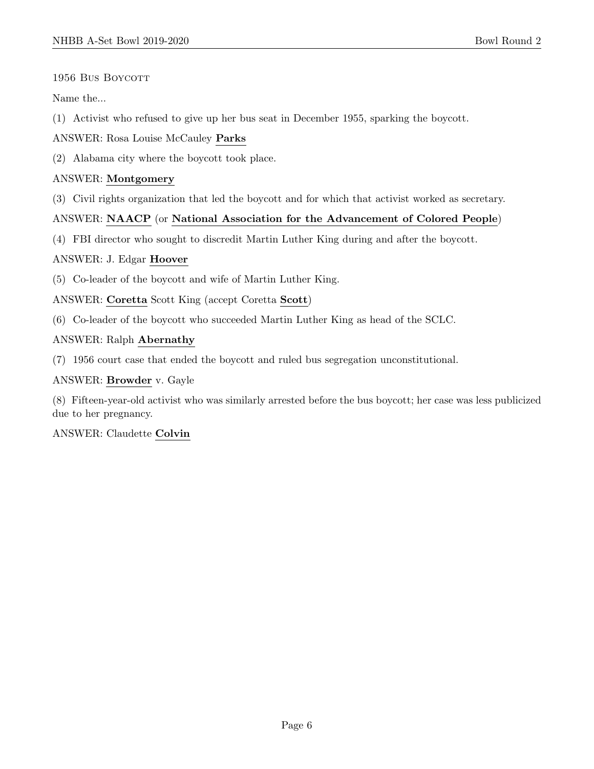#### 1956 Bus Boycott

Name the...

(1) Activist who refused to give up her bus seat in December 1955, sparking the boycott.

#### ANSWER: Rosa Louise McCauley Parks

(2) Alabama city where the boycott took place.

#### ANSWER: Montgomery

(3) Civil rights organization that led the boycott and for which that activist worked as secretary.

#### ANSWER: NAACP (or National Association for the Advancement of Colored People)

(4) FBI director who sought to discredit Martin Luther King during and after the boycott.

#### ANSWER: J. Edgar Hoover

(5) Co-leader of the boycott and wife of Martin Luther King.

ANSWER: Coretta Scott King (accept Coretta Scott)

(6) Co-leader of the boycott who succeeded Martin Luther King as head of the SCLC.

#### ANSWER: Ralph Abernathy

(7) 1956 court case that ended the boycott and ruled bus segregation unconstitutional.

#### ANSWER: Browder v. Gayle

(8) Fifteen-year-old activist who was similarly arrested before the bus boycott; her case was less publicized due to her pregnancy.

ANSWER: Claudette Colvin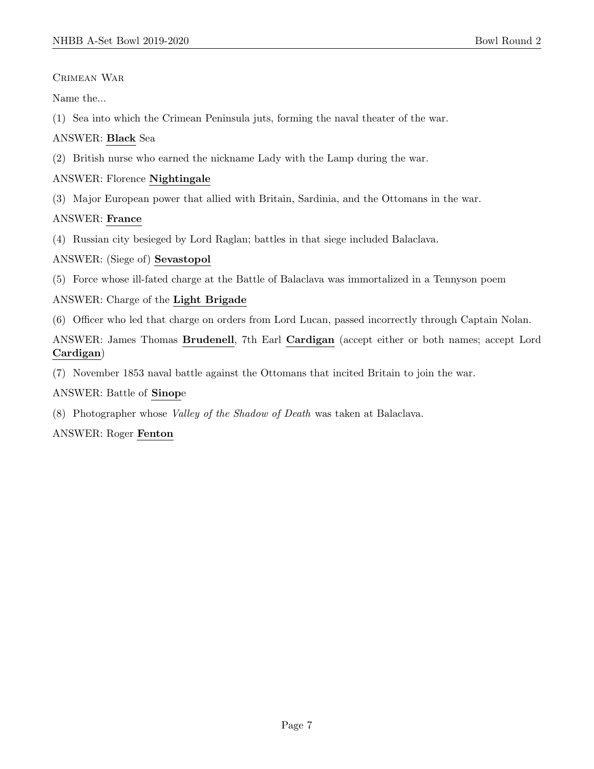#### Crimean War

Name the...

(1) Sea into which the Crimean Peninsula juts, forming the naval theater of the war.

#### ANSWER: Black Sea

(2) British nurse who earned the nickname Lady with the Lamp during the war.

#### ANSWER: Florence Nightingale

(3) Major European power that allied with Britain, Sardinia, and the Ottomans in the war.

#### ANSWER: France

(4) Russian city besieged by Lord Raglan; battles in that siege included Balaclava.

#### ANSWER: (Siege of) Sevastopol

(5) Force whose ill-fated charge at the Battle of Balaclava was immortalized in a Tennyson poem

#### ANSWER: Charge of the Light Brigade

(6) Officer who led that charge on orders from Lord Lucan, passed incorrectly through Captain Nolan.

ANSWER: James Thomas Brudenell, 7th Earl Cardigan (accept either or both names; accept Lord Cardigan)

(7) November 1853 naval battle against the Ottomans that incited Britain to join the war.

#### ANSWER: Battle of Sinope

(8) Photographer whose Valley of the Shadow of Death was taken at Balaclava.

#### ANSWER: Roger Fenton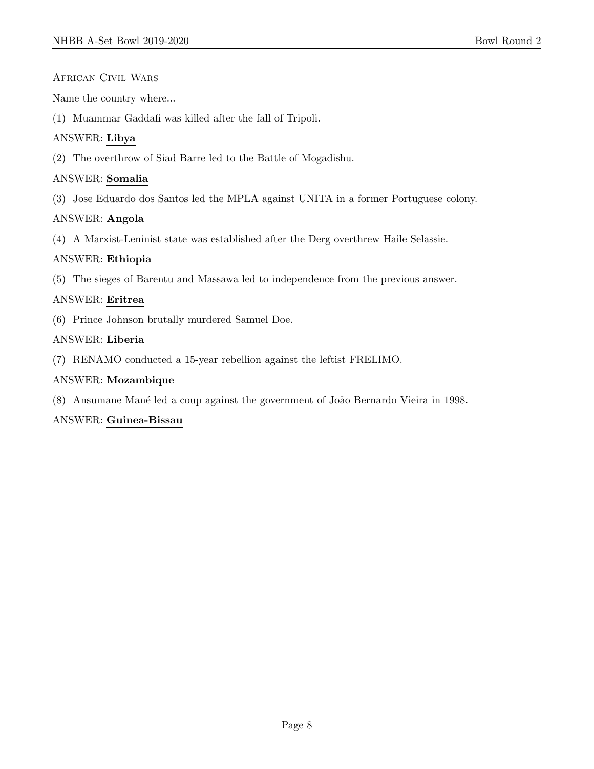#### African Civil Wars

Name the country where...

(1) Muammar Gaddafi was killed after the fall of Tripoli.

#### ANSWER: Libya

(2) The overthrow of Siad Barre led to the Battle of Mogadishu.

#### ANSWER: Somalia

(3) Jose Eduardo dos Santos led the MPLA against UNITA in a former Portuguese colony.

#### ANSWER: Angola

(4) A Marxist-Leninist state was established after the Derg overthrew Haile Selassie.

#### ANSWER: Ethiopia

(5) The sieges of Barentu and Massawa led to independence from the previous answer.

#### ANSWER: Eritrea

(6) Prince Johnson brutally murdered Samuel Doe.

#### ANSWER: Liberia

(7) RENAMO conducted a 15-year rebellion against the leftist FRELIMO.

#### ANSWER: Mozambique

(8) Ansumane Mané led a coup against the government of João Bernardo Vieira in 1998.

#### ANSWER: Guinea-Bissau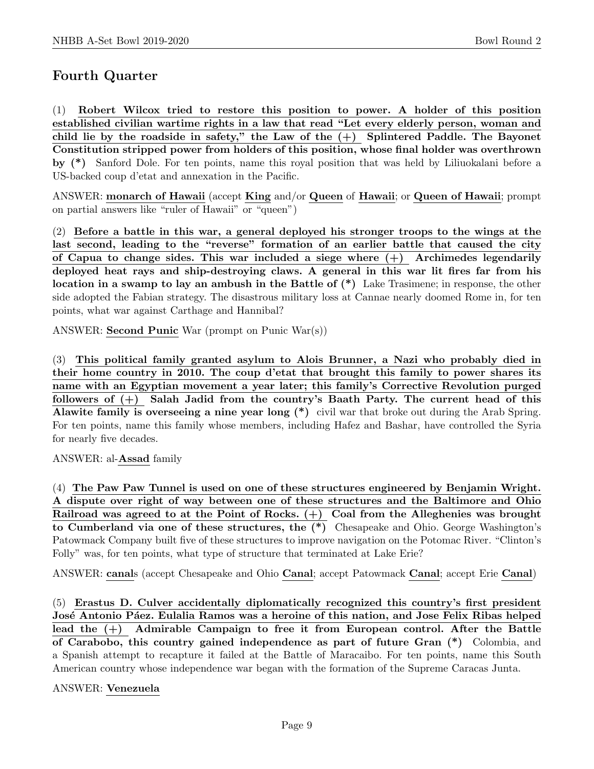## Fourth Quarter

(1) Robert Wilcox tried to restore this position to power. A holder of this position established civilian wartime rights in a law that read "Let every elderly person, woman and child lie by the roadside in safety," the Law of the  $(+)$  Splintered Paddle. The Bayonet Constitution stripped power from holders of this position, whose final holder was overthrown by (\*) Sanford Dole. For ten points, name this royal position that was held by Liliuokalani before a US-backed coup d'etat and annexation in the Pacific.

ANSWER: monarch of Hawaii (accept King and/or Queen of Hawaii; or Queen of Hawaii; prompt on partial answers like "ruler of Hawaii" or "queen")

(2) Before a battle in this war, a general deployed his stronger troops to the wings at the last second, leading to the "reverse" formation of an earlier battle that caused the city of Capua to change sides. This war included a siege where  $(+)$  Archimedes legendarily deployed heat rays and ship-destroying claws. A general in this war lit fires far from his location in a swamp to lay an ambush in the Battle of (\*) Lake Trasimene; in response, the other side adopted the Fabian strategy. The disastrous military loss at Cannae nearly doomed Rome in, for ten points, what war against Carthage and Hannibal?

ANSWER: Second Punic War (prompt on Punic War(s))

(3) This political family granted asylum to Alois Brunner, a Nazi who probably died in their home country in 2010. The coup d'etat that brought this family to power shares its name with an Egyptian movement a year later; this family's Corrective Revolution purged followers of  $(+)$  Salah Jadid from the country's Baath Party. The current head of this Alawite family is overseeing a nine year long (\*) civil war that broke out during the Arab Spring. For ten points, name this family whose members, including Hafez and Bashar, have controlled the Syria for nearly five decades.

ANSWER: al-Assad family

(4) The Paw Paw Tunnel is used on one of these structures engineered by Benjamin Wright. A dispute over right of way between one of these structures and the Baltimore and Ohio Railroad was agreed to at the Point of Rocks.  $(+)$  Coal from the Alleghenies was brought to Cumberland via one of these structures, the (\*) Chesapeake and Ohio. George Washington's Patowmack Company built five of these structures to improve navigation on the Potomac River. "Clinton's Folly" was, for ten points, what type of structure that terminated at Lake Erie?

ANSWER: canals (accept Chesapeake and Ohio Canal; accept Patowmack Canal; accept Erie Canal)

(5) Erastus D. Culver accidentally diplomatically recognized this country's first president José Antonio Páez. Eulalia Ramos was a heroine of this nation, and Jose Felix Ribas helped lead the (+) Admirable Campaign to free it from European control. After the Battle of Carabobo, this country gained independence as part of future Gran (\*) Colombia, and a Spanish attempt to recapture it failed at the Battle of Maracaibo. For ten points, name this South American country whose independence war began with the formation of the Supreme Caracas Junta.

ANSWER: Venezuela